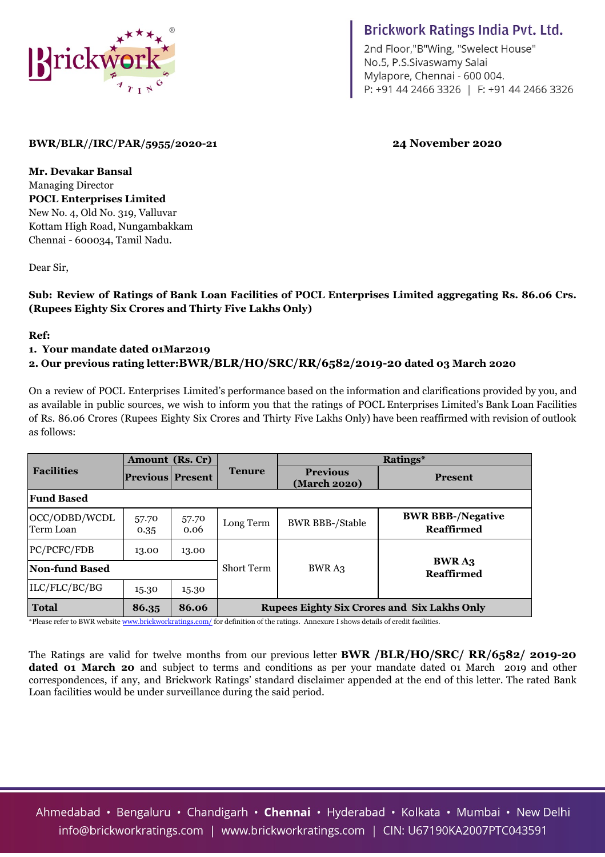

# **Brickwork Ratings India Pvt. Ltd.**

2nd Floor,"B"Wing, "Swelect House" No.5, P.S.Sivaswamy Salai Mylapore, Chennai - 600 004. P: +91 44 2466 3326 | F: +91 44 2466 3326

# **BWR/BLR//IRC/PAR/5955/2020-21 24 November 2020**

**Mr. Devakar Bansal** Managing Director **POCL Enterprises Limited** New No. 4, Old No. 319, Valluvar Kottam High Road, Nungambakkam Chennai - 600034, Tamil Nadu.

Dear Sir,

## **Sub: Review of Ratings of Bank Loan Facilities of POCL Enterprises Limited aggregating Rs. 86.06 Crs. (Rupees Eighty Six Crores and Thirty Five Lakhs Only)**

#### **Ref:**

#### **1. Your mandate dated 01Mar2019**

### **2. Our previous rating letter:BWR/BLR/HO/SRC/RR/6582/2019-20 dated 03 March 2020**

On a review of POCL Enterprises Limited's performance based on the information and clarifications provided by you, and as available in public sources, we wish to inform you that the ratings of POCL Enterprises Limited's Bank Loan Facilities of Rs. 86.06 Crores (Rupees Eighty Six Crores and Thirty Five Lakhs Only) have been reaffirmed with revision of outlook as follows:

|                            |                         | Amount (Rs. Cr) |                                                    | Ratings*                        |                                        |  |  |  |  |
|----------------------------|-------------------------|-----------------|----------------------------------------------------|---------------------------------|----------------------------------------|--|--|--|--|
| <b>Facilities</b>          | <b>Previous Present</b> |                 | <b>Tenure</b>                                      | <b>Previous</b><br>(March 2020) | <b>Present</b>                         |  |  |  |  |
| <b>Fund Based</b>          |                         |                 |                                                    |                                 |                                        |  |  |  |  |
| OCC/ODBD/WCDL<br>Term Loan | 57.70<br>0.35           | 57.70<br>0.06   | Long Term                                          | <b>BWR BBB-/Stable</b>          | <b>BWR BBB-/Negative</b><br>Reaffirmed |  |  |  |  |
| PC/PCFC/FDB                | 13.00                   | 13.00           |                                                    |                                 |                                        |  |  |  |  |
| Non-fund Based             |                         |                 | <b>Short Term</b>                                  | <b>BWRA3</b>                    | <b>BWRA3</b><br><b>Reaffirmed</b>      |  |  |  |  |
| ILC/FLC/BC/BG              | 15.30                   | 15.30           |                                                    |                                 |                                        |  |  |  |  |
| <b>Total</b>               | 86.35                   | 86.06           | <b>Rupees Eighty Six Crores and Six Lakhs Only</b> |                                 |                                        |  |  |  |  |

\*Please refer to BWR website [www.brickworkratings.com/](http://www.brickworkratings.com/) for definition of the ratings. Annexure I shows details of credit facilities.

The Ratings are valid for twelve months from our previous letter **BWR /BLR/HO/SRC/ RR/6582/ 2019-20 dated 01 March 20** and subject to terms and conditions as per your mandate dated 01 March 2019 and other correspondences, if any, and Brickwork Ratings' standard disclaimer appended at the end of this letter. The rated Bank Loan facilities would be under surveillance during the said period.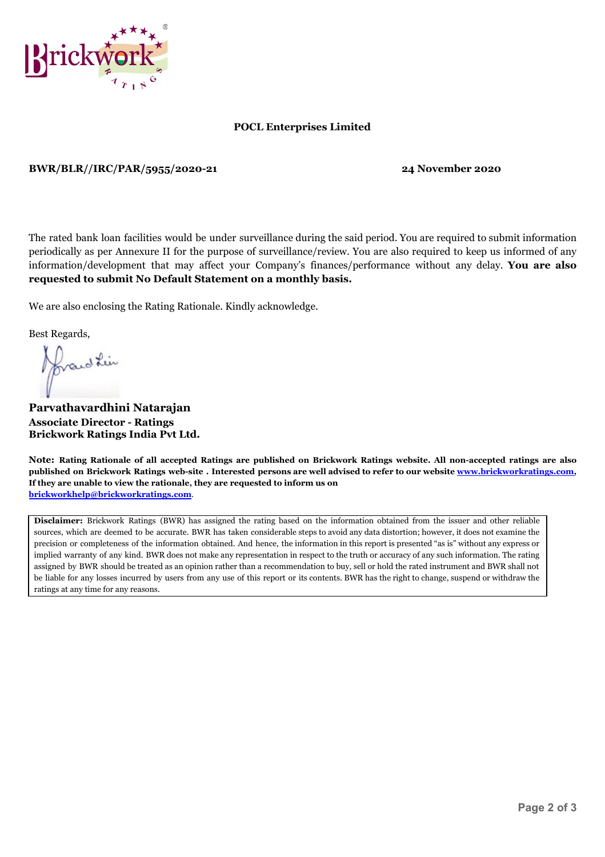

#### **POCL Enterprises Limited**

**BWR/BLR//IRC/PAR/5955/2020-21 24 November 2020**

The rated bank loan facilities would be under surveillance during the said period. You are required to submit information periodically as per Annexure II for the purpose of surveillance/review. You are also required to keep us informed of any information/development that may affect your Company's finances/performance without any delay. **You are also requested to submit No Default Statement on a monthly basis.**

We are also enclosing the Rating Rationale. Kindly acknowledge.

Best Regards,

frand Lin

**Parvathavardhini Natarajan Associate Director - Ratings Brickwork Ratings India Pvt Ltd.**

Note: Rating Rationale of all accepted Ratings are published on Brickwork Ratings website. All non-accepted ratings are also published on Brickwork Ratings web-site. Interested persons are well advised to refer to our website [www.brickworkratings.com](http://www.brickworkratings.com/), **If they are unable to view the rationale, they are requested to inform us on [brickworkhelp@brickworkratings.com](mailto:brickworkhelp@brickworkratings.com)**.

**Disclaimer:** Brickwork Ratings (BWR) has assigned the rating based on the information obtained from the issuer and other reliable sources, which are deemed to be accurate. BWR has taken considerable steps to avoid any data distortion; however, it does not examine the precision or completeness of the information obtained. And hence, the information in this report is presented "as is" without any express or implied warranty of any kind. BWR does not make any representation in respect to the truth or accuracy of any such information. The rating assigned by BWR should be treated as an opinion rather than a recommendation to buy, sell or hold the rated instrument and BWR shall not be liable for any losses incurred by users from any use of this report or its contents. BWR has the right to change, suspend or withdraw the ratings at any time for any reasons.